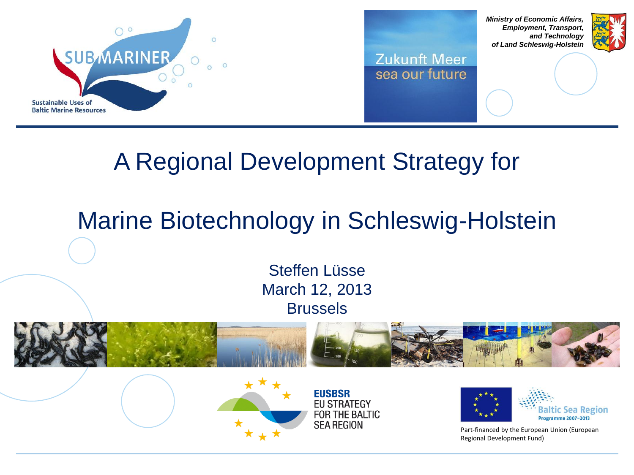



*Ministry of Economic Affairs, Employment, Transport, and Technology of Land Schleswig-Holstein*



### A Regional Development Strategy for

## Marine Biotechnology in Schleswig-Holstein

Steffen Lüsse March 12, 2013 Brussels

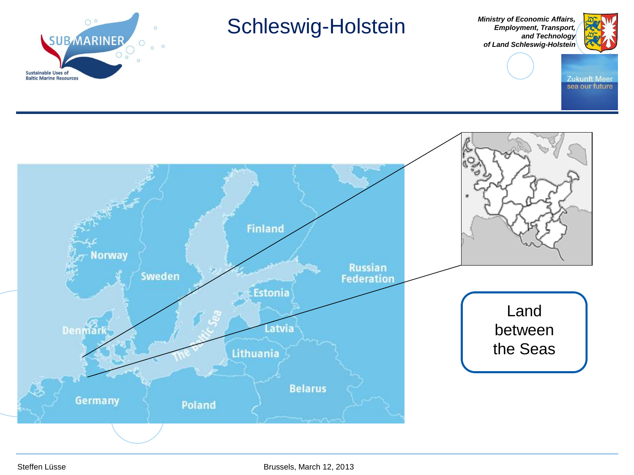

### Schleswig-Holstein

*Ministry of Economic Affairs, Employment, Transport, and Technology of Land Schleswig-Holstein*



Zukunft Meer<br>sea our future

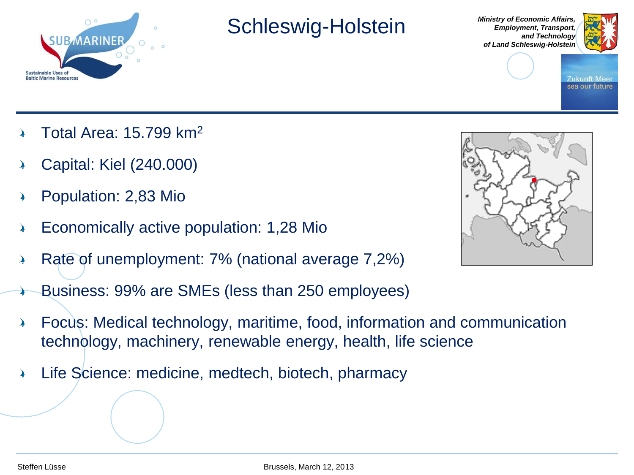

### Schleswig-Holstein

*Ministry of Economic Affairs, Employment, Transport, and Technology of Land Schleswig-Holstein*



Zukunft Mee sea our future

- Total Area: 15.799 km<sup>2</sup>
- Capital: Kiel (240.000)
- Population: 2,83 Mio
- Economically active population: 1,28 Mio
- Rate of unemployment: 7% (national average 7,2%) እ
- Business: 99% are SMEs (less than 250 employees)
- Focus: Medical technology, maritime, food, information and communication ♪ technology, machinery, renewable energy, health, life science
- Life Science: medicine, medtech, biotech, pharmacy♪

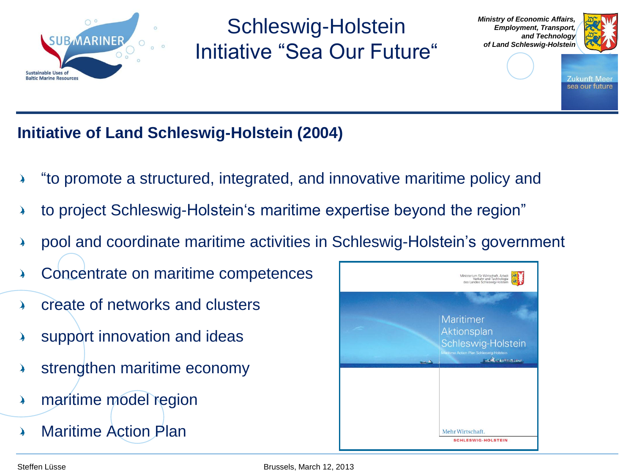

Schleswig-Holstein Initiative "Sea Our Future" *Ministry of Economic Affairs, Employment, Transport, and Technology of Land Schleswig-Holstein*



Zukunft Mee sea our future

### **Initiative of Land Schleswig-Holstein (2004)**

- "to promote a structured, integrated, and innovative maritime policy and
- to project Schleswig-Holstein's maritime expertise beyond the region"
- pool and coordinate maritime activities in Schleswig-Holstein's government
- Concentrate on maritime competences
- create of networks and clusters እ
- support innovation and ideas
- strengthen maritime economy
- maritime model region 4
- Maritime Action Plan

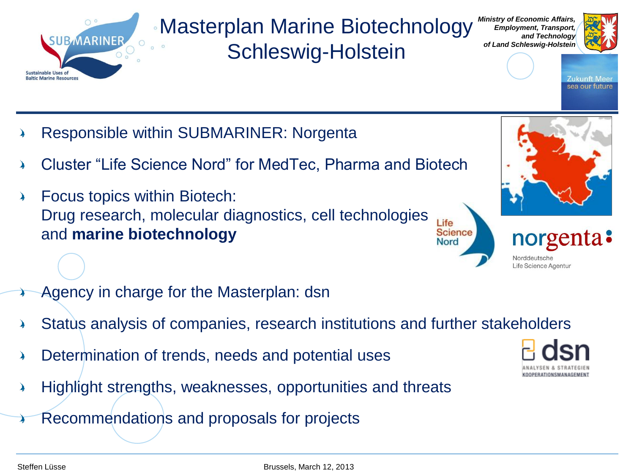### Masterplan Marine Biotechnology Schleswig-Holstein

*Ministry of Economic Affairs, Employment, Transport, and Technology of Land Schleswig-Holstein*



Zukunft Mee sea our future

- Responsible within SUBMARINER: Norgenta
- Cluster "Life Science Nord" for MedTec, Pharma and Biotech
- Focus topics within Biotech:  $\blacktriangleright$ Drug research, molecular diagnostics, cell technologies Life and **marine biotechnology Science Nord**
- Agency in charge for the Masterplan: dsn
- Status analysis of companies, research institutions and further stakeholders
- Determination of trends, needs and potential uses
- Highlight strengths, weaknesses, opportunities and threats 4
- Recommendations and proposals for projects

**SUBMARINE** 

**Sustainable Uses of Baltic Marine Resources** 





norgenta:

Norddeutsche Life Science Agentur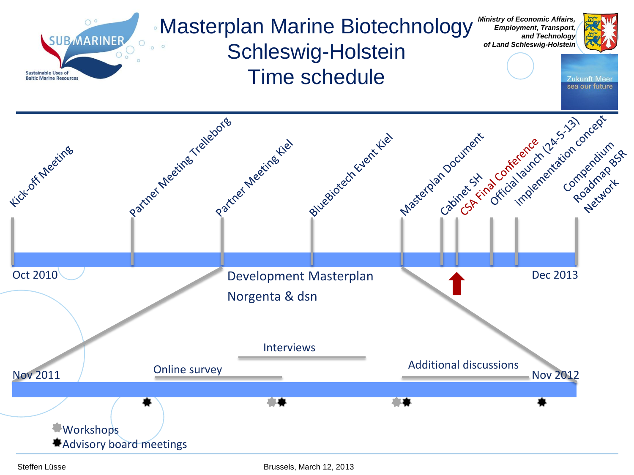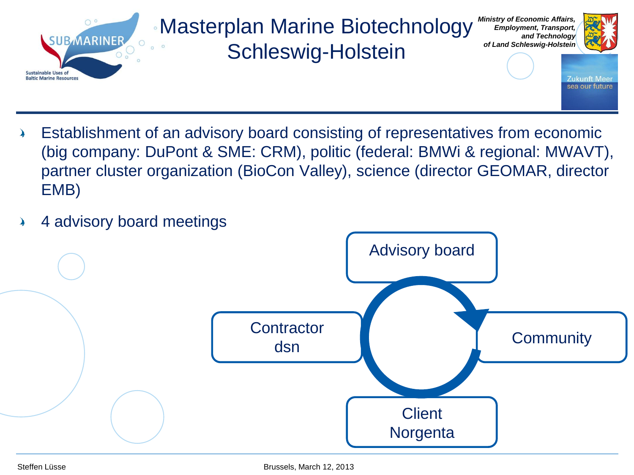

- Establishment of an advisory board consisting of representatives from economic እ (big company: DuPont & SME: CRM), politic (federal: BMWi & regional: MWAVT), partner cluster organization (BioCon Valley), science (director GEOMAR, director EMB)
- 4 advisory board meetings እ

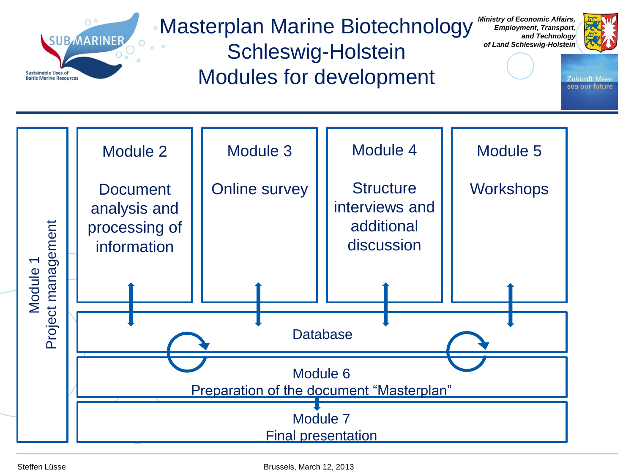

Masterplan Marine Biotechnology

*Ministry of Economic Affairs, Employment, Transport,*

 $\circ$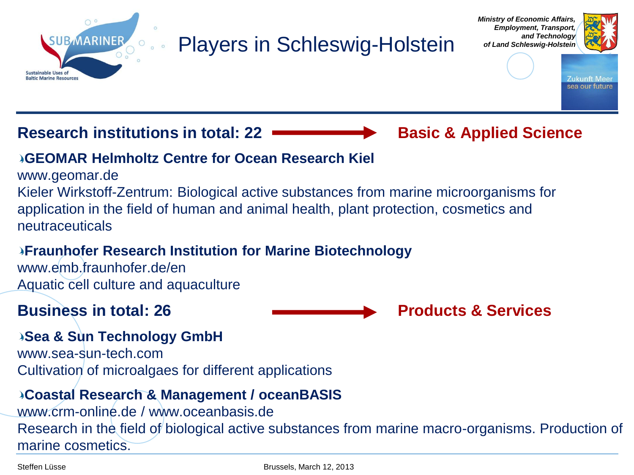

### Players in Schleswig-Holstein





Zukunft Meei sea our future

#### **Research institutions in total: 22 <b>Basic & Applied Science**

#### **GEOMAR Helmholtz Centre for Ocean Research Kiel**

www.geomar.de

Kieler Wirkstoff-Zentrum: Biological active substances from marine microorganisms for application in the field of human and animal health, plant protection, cosmetics and neutraceuticals

#### **Fraunhofer Research Institution for Marine Biotechnology**

www.emb.fraunhofer.de/en Aquatic cell culture and aquaculture



#### **Sea & Sun Technology GmbH**

www.sea-sun-tech.com Cultivation of microalgaes for different applications

#### **Coastal Research & Management / oceanBASIS**

www.crm-online.de / www.oceanbasis.de Research in the field of biological active substances from marine macro-organisms. Production of marine cosmetics.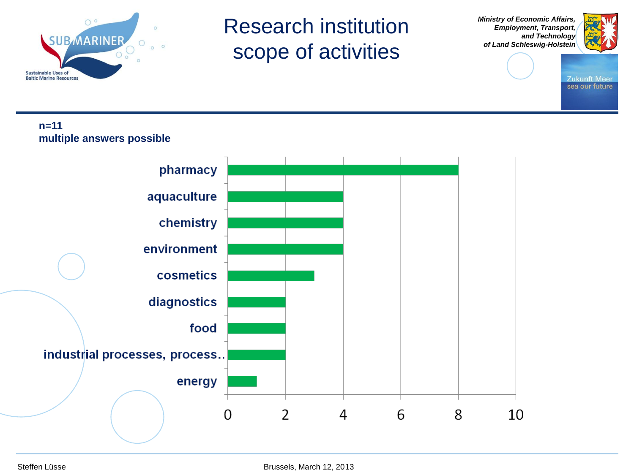

### Research institution scope of activities

*Ministry of Economic Affairs, Employment, Transport, and Technology of Land Schleswig-Holstein*



**Zukunft Meer** sea our future

#### **n=11 multiple answers possible**

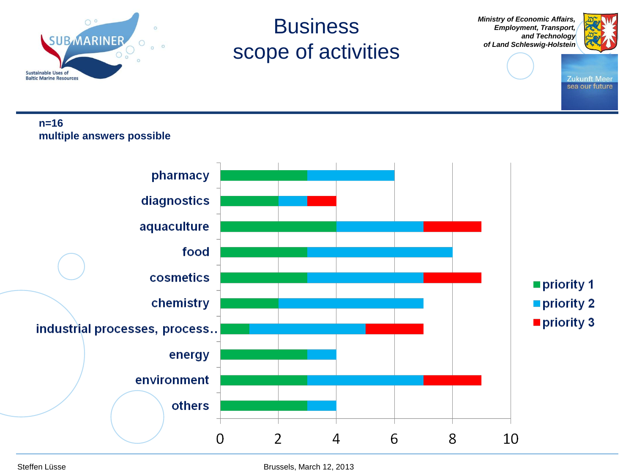

### **Business** scope of activities

*Ministry of Economic Affairs, Employment, Transport, and Technology of Land Schleswig-Holstein*



**Zukunft Meer** sea our future

#### **n=16 multiple answers possible**

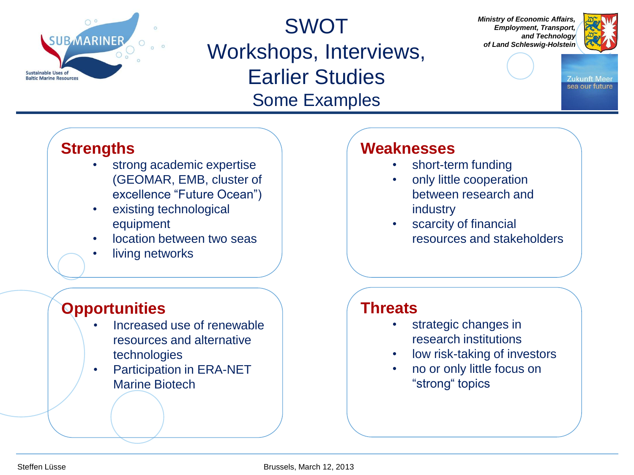

SWOT Workshops, Interviews, Earlier Studies Some Examples

*Ministry of Economic Affairs, Employment, Transport, and Technology of Land Schleswig-Holstein*



Zukunft Meer sea our future

### **Strengths**

- strong academic expertise (GEOMAR, EMB, cluster of excellence "Future Ocean")
- existing technological equipment
- location between two seas
- living networks

### **Opportunities**

- Increased use of renewable resources and alternative technologies
- Participation in ERA-NET Marine Biotech

### **Weaknesses**

- short-term funding
- only little cooperation between research and industry
- scarcity of financial resources and stakeholders

#### **Threats**

- strategic changes in research institutions
- low risk-taking of investors
- no or only little focus on "strong" topics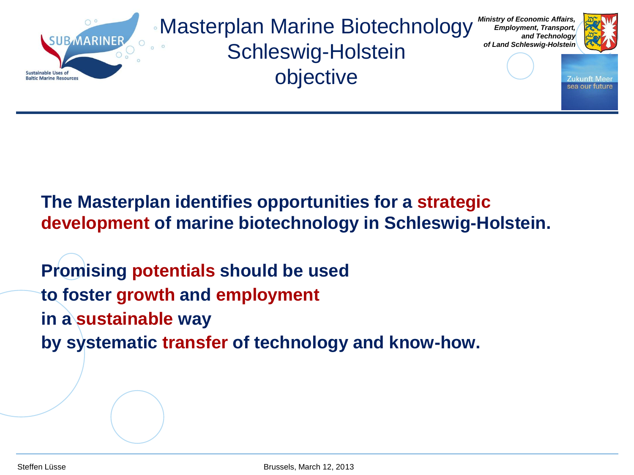

### **The Masterplan identifies opportunities for a strategic development of marine biotechnology in Schleswig-Holstein.**

**Promising potentials should be used to foster growth and employment in a sustainable way by systematic transfer of technology and know-how.**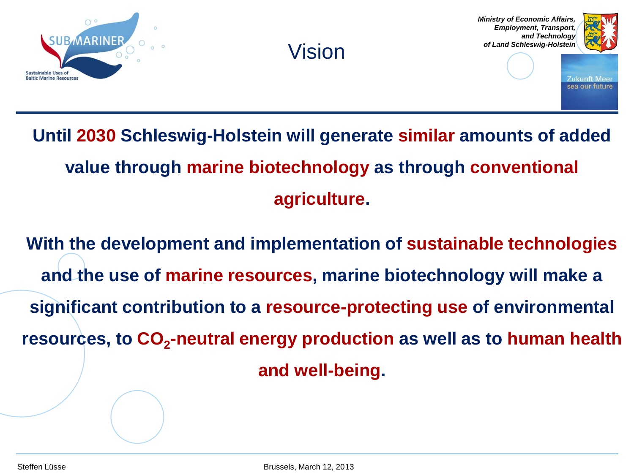

### Vision

*Ministry of Economic Affairs, Employment, Transport, and Technology of Land Schleswig-Holstein*



Zukunft Mee sea our future

### **Until 2030 Schleswig-Holstein will generate similar amounts of added value through marine biotechnology as through conventional agriculture.**

**With the development and implementation of sustainable technologies and the use of marine resources, marine biotechnology will make a significant contribution to a resource-protecting use of environmental resources, to CO<sup>2</sup> -neutral energy production as well as to human health and well-being.**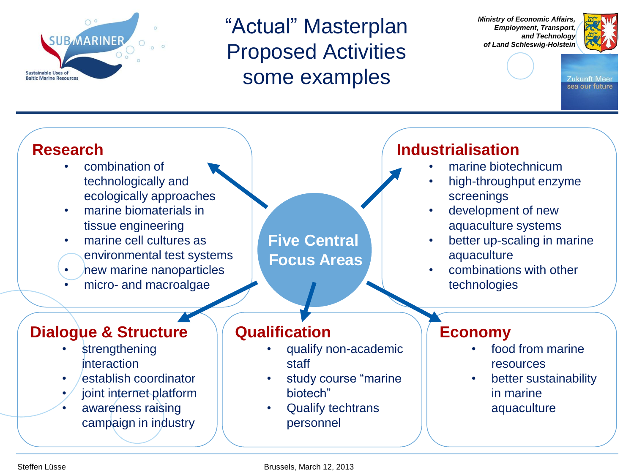

"Actual" Masterplan Proposed Activities some examples

*Ministry of Economic Affairs, Employment, Transport, and Technology of Land Schleswig-Holstein*



**Zukunft Meer** sea our future



Steffen Lüsse Brussels, March 12, 2013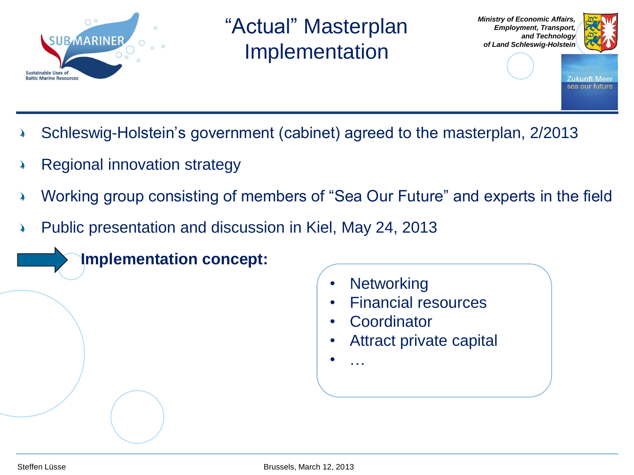

"Actual" Masterplan Implementation





Zukunft Mee sea our future

- Schleswig-Holstein's government (cabinet) agreed to the masterplan, 2/2013
- Regional innovation strategy
- Working group consisting of members of "Sea Our Future" and experts in the field
- Public presentation and discussion in Kiel, May 24, 2013

**Implementation concept:**

- **Networking**
- Financial resources
- **Coordinator**
- Attract private capital
- …